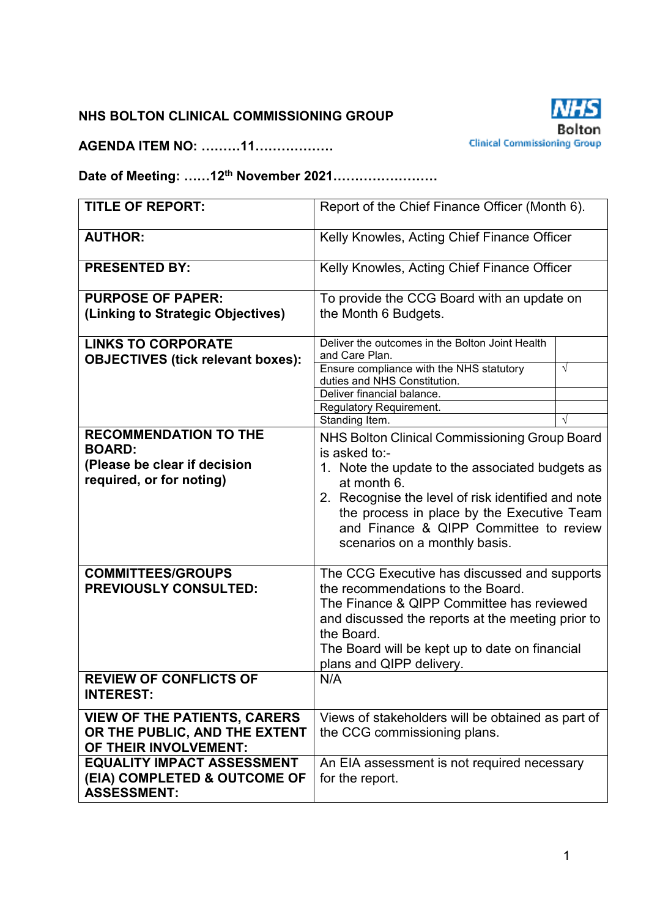### **NHS BOLTON CLINICAL COMMISSIONING GROUP**

**AGENDA ITEM NO: ………11………………** 



**Date of Meeting: ……12th November 2021……………………** 

| <b>TITLE OF REPORT:</b>                                                       | Report of the Chief Finance Officer (Month 6).                                                                                                                              |            |  |  |  |
|-------------------------------------------------------------------------------|-----------------------------------------------------------------------------------------------------------------------------------------------------------------------------|------------|--|--|--|
| <b>AUTHOR:</b>                                                                | Kelly Knowles, Acting Chief Finance Officer                                                                                                                                 |            |  |  |  |
| <b>PRESENTED BY:</b>                                                          | Kelly Knowles, Acting Chief Finance Officer                                                                                                                                 |            |  |  |  |
| <b>PURPOSE OF PAPER:</b>                                                      | To provide the CCG Board with an update on                                                                                                                                  |            |  |  |  |
| (Linking to Strategic Objectives)                                             | the Month 6 Budgets.                                                                                                                                                        |            |  |  |  |
| <b>LINKS TO CORPORATE</b>                                                     | Deliver the outcomes in the Bolton Joint Health                                                                                                                             |            |  |  |  |
| <b>OBJECTIVES (tick relevant boxes):</b>                                      | and Care Plan.                                                                                                                                                              |            |  |  |  |
|                                                                               | Ensure compliance with the NHS statutory<br>duties and NHS Constitution.                                                                                                    | $\sqrt{ }$ |  |  |  |
|                                                                               | Deliver financial balance.                                                                                                                                                  |            |  |  |  |
|                                                                               | Regulatory Requirement.                                                                                                                                                     |            |  |  |  |
|                                                                               | Standing Item.                                                                                                                                                              | $\sqrt{ }$ |  |  |  |
| <b>RECOMMENDATION TO THE</b><br><b>BOARD:</b><br>(Please be clear if decision | NHS Bolton Clinical Commissioning Group Board<br>is asked to:-<br>1. Note the update to the associated budgets as                                                           |            |  |  |  |
| required, or for noting)                                                      | at month 6.                                                                                                                                                                 |            |  |  |  |
|                                                                               | 2. Recognise the level of risk identified and note<br>the process in place by the Executive Team<br>and Finance & QIPP Committee to review<br>scenarios on a monthly basis. |            |  |  |  |
| <b>COMMITTEES/GROUPS</b>                                                      | The CCG Executive has discussed and supports                                                                                                                                |            |  |  |  |
| <b>PREVIOUSLY CONSULTED:</b>                                                  | the recommendations to the Board.                                                                                                                                           |            |  |  |  |
|                                                                               | The Finance & QIPP Committee has reviewed                                                                                                                                   |            |  |  |  |
|                                                                               | and discussed the reports at the meeting prior to                                                                                                                           |            |  |  |  |
|                                                                               | the Board.                                                                                                                                                                  |            |  |  |  |
|                                                                               | The Board will be kept up to date on financial<br>plans and QIPP delivery.                                                                                                  |            |  |  |  |
| <b>REVIEW OF CONFLICTS OF</b>                                                 | N/A                                                                                                                                                                         |            |  |  |  |
| <b>INTEREST:</b>                                                              |                                                                                                                                                                             |            |  |  |  |
| <b>VIEW OF THE PATIENTS, CARERS</b>                                           | Views of stakeholders will be obtained as part of                                                                                                                           |            |  |  |  |
| OR THE PUBLIC, AND THE EXTENT                                                 | the CCG commissioning plans.                                                                                                                                                |            |  |  |  |
| OF THEIR INVOLVEMENT:                                                         |                                                                                                                                                                             |            |  |  |  |
| <b>EQUALITY IMPACT ASSESSMENT</b>                                             | An EIA assessment is not required necessary                                                                                                                                 |            |  |  |  |
| (EIA) COMPLETED & OUTCOME OF                                                  | for the report.                                                                                                                                                             |            |  |  |  |
| <b>ASSESSMENT:</b>                                                            |                                                                                                                                                                             |            |  |  |  |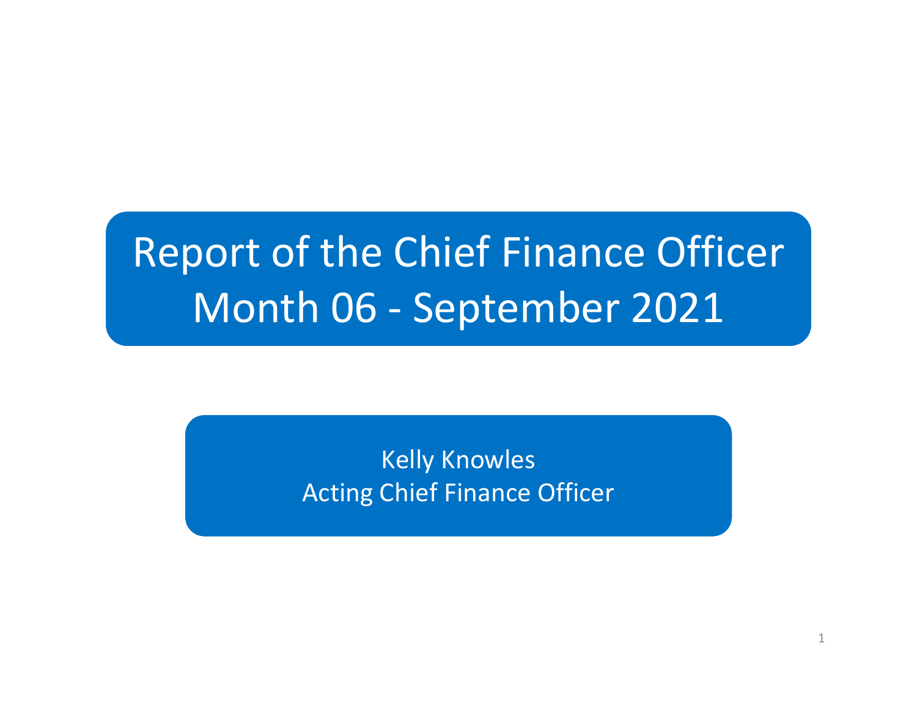# Report of the Chief Finance OfficerMonth 06 - September 2021

Kelly KnowlesActing Chief Finance Officer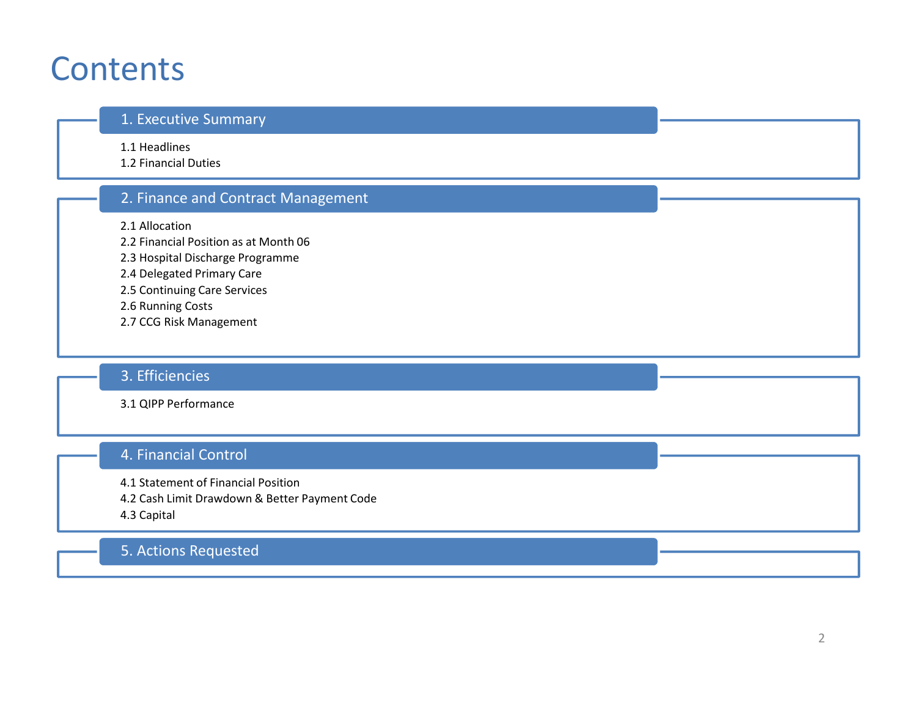### **Contents**

#### 1. Executive Summary

1.1 Headlines

1.2 Financial Duties

### 2. Finance and Contract Management

2.1 Allocation

2.2 Financial Position as at Month 06

2.3 Hospital Discharge Programme

- 2.4 Delegated Primary Care
- 2.5 Continuing Care Services

2.6 Running Costs

2.7 CCG Risk Management

### 3. Efficiencies

3.1 QIPP Performance

### 4. Financial Control

4.1 Statement of Financial Position

4.2 Cash Limit Drawdown & Better Payment Code

4.3 Capital

### 5. Actions Requested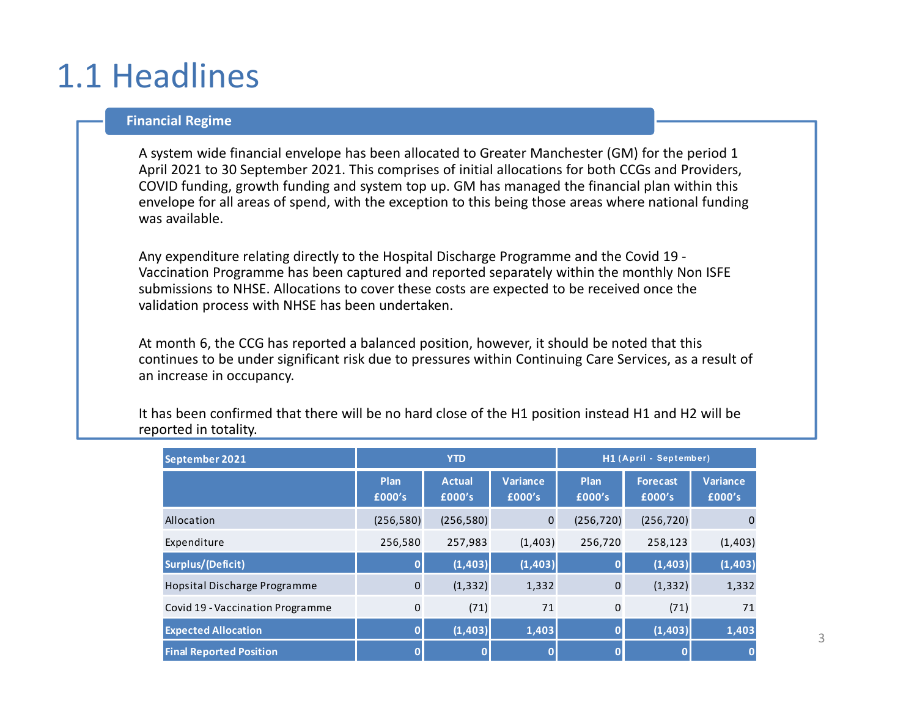### 1.1 Headlines

#### **Financial Regime**

A system wide financial envelope has been allocated to Greater Manchester (GM) for the period 1 April 2021 to 30 September 2021. This comprises of initial allocations for both CCGs and Providers, COVID funding, growth funding and system top up. GM has managed the financial plan within this envelope for all areas of spend, with the exception to this being those areas where national funding was available.

Any expenditure relating directly to the Hospital Discharge Programme and the Covid 19 - Vaccination Programme has been captured and reported separately within the monthly Non ISFE submissions to NHSE. Allocations to cover these costs are expected to be received once the validation process with NHSE has been undertaken.

At month 6, the CCG has reported a balanced position, however, it should be noted that this continues to be under significant risk due to pressures within Continuing Care Services, as a result ofan increase in occupancy.

It has been confirmed that there will be no hard close of the H1 position instead H1 and H2 will be reported in totality.

| September 2021                   | <b>YTD</b>     |                         |                    | H1 (April - September) |                    |                           |  |
|----------------------------------|----------------|-------------------------|--------------------|------------------------|--------------------|---------------------------|--|
|                                  | Plan<br>£000's | <b>Actual</b><br>£000's | Variance<br>£000's | Plan<br>£000's         | Forecast<br>£000's | <b>Variance</b><br>£000's |  |
| Allocation                       | (256, 580)     | (256, 580)              | $\mathbf 0$        | (256, 720)             | (256, 720)         |                           |  |
| Expenditure                      | 256,580        | 257,983                 | (1,403)            | 256,720                | 258,123            | (1,403)                   |  |
| Surplus/(Deficit)                |                | (1, 403)                | (1, 403)           |                        | (1, 403)           | (1, 403)                  |  |
| Hopsital Discharge Programme     | $\overline{0}$ | (1, 332)                | 1,332              | $\mathbf{0}$           | (1, 332)           | 1,332                     |  |
| Covid 19 - Vaccination Programme | $\mathbf 0$    | (71)                    | 71                 | $\mathbf 0$            | (71)               | 71                        |  |
| <b>Expected Allocation</b>       |                | (1,403)                 | 1,403              | 0                      | (1, 403)           | 1,403                     |  |
| <b>Final Reported Position</b>   |                |                         | $\mathbf 0$        |                        |                    |                           |  |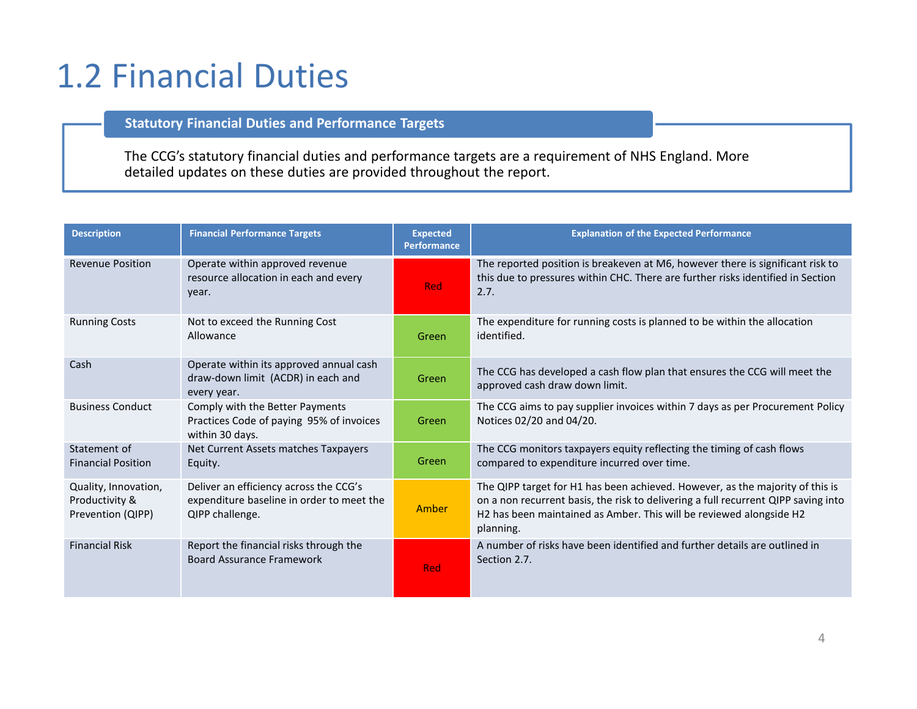### 1.2 Financial Duties

#### **Statutory Financial Duties and Performance Targets**

The CCG's statutory financial duties and performance targets are a requirement of NHS England. More detailed updates on these duties are provided throughout the report.

| <b>Description</b>                                          | <b>Financial Performance Targets</b>                                                                   | <b>Expected</b><br>Performance | <b>Explanation of the Expected Performance</b>                                                                                                                                                                                                          |
|-------------------------------------------------------------|--------------------------------------------------------------------------------------------------------|--------------------------------|---------------------------------------------------------------------------------------------------------------------------------------------------------------------------------------------------------------------------------------------------------|
| <b>Revenue Position</b>                                     | Operate within approved revenue<br>resource allocation in each and every<br>year.                      | Red                            | The reported position is breakeven at M6, however there is significant risk to<br>this due to pressures within CHC. There are further risks identified in Section<br>2.7.                                                                               |
| <b>Running Costs</b>                                        | Not to exceed the Running Cost<br>Allowance                                                            | Green                          | The expenditure for running costs is planned to be within the allocation<br>identified.                                                                                                                                                                 |
| Cash                                                        | Operate within its approved annual cash<br>draw-down limit (ACDR) in each and<br>every year.           | Green                          | The CCG has developed a cash flow plan that ensures the CCG will meet the<br>approved cash draw down limit.                                                                                                                                             |
| <b>Business Conduct</b>                                     | Comply with the Better Payments<br>Practices Code of paying 95% of invoices<br>within 30 days.         | Green                          | The CCG aims to pay supplier invoices within 7 days as per Procurement Policy<br>Notices 02/20 and 04/20.                                                                                                                                               |
| Statement of<br><b>Financial Position</b>                   | Net Current Assets matches Taxpayers<br>Equity.                                                        | Green                          | The CCG monitors taxpayers equity reflecting the timing of cash flows<br>compared to expenditure incurred over time.                                                                                                                                    |
| Quality, Innovation,<br>Productivity &<br>Prevention (QIPP) | Deliver an efficiency across the CCG's<br>expenditure baseline in order to meet the<br>QIPP challenge. | Amber                          | The QIPP target for H1 has been achieved. However, as the majority of this is<br>on a non recurrent basis, the risk to delivering a full recurrent QIPP saving into<br>H2 has been maintained as Amber. This will be reviewed alongside H2<br>planning. |
| <b>Financial Risk</b>                                       | Report the financial risks through the<br><b>Board Assurance Framework</b>                             | <b>Red</b>                     | A number of risks have been identified and further details are outlined in<br>Section 2.7.                                                                                                                                                              |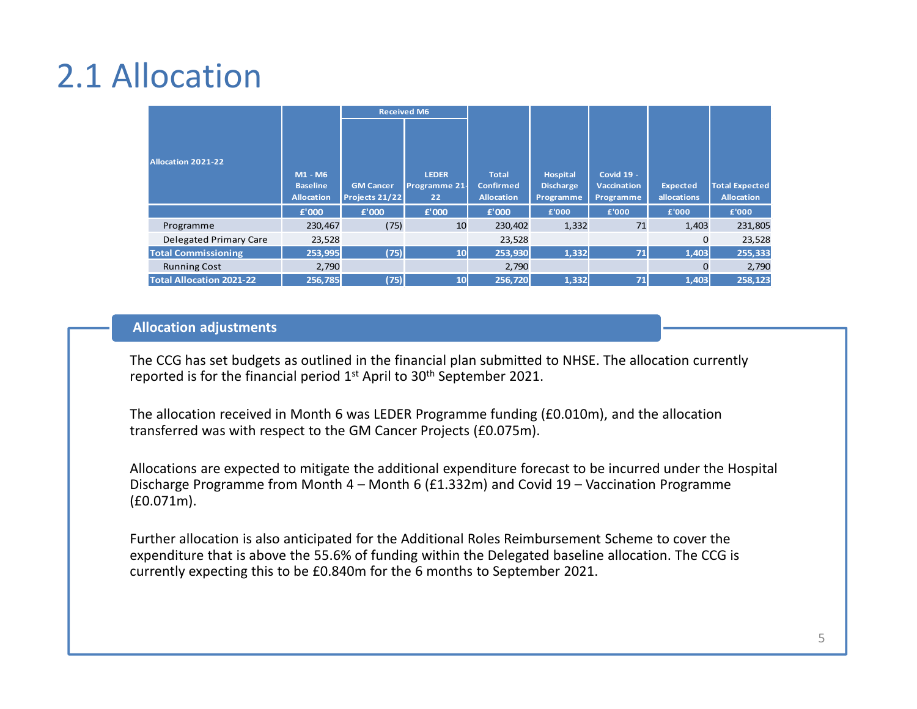## 2.1 Allocation

|                                 | <b>Received M6</b>                              |                                    |                                            |                                                       |                                                  |                                                      |                                |                                            |
|---------------------------------|-------------------------------------------------|------------------------------------|--------------------------------------------|-------------------------------------------------------|--------------------------------------------------|------------------------------------------------------|--------------------------------|--------------------------------------------|
| <b>Allocation 2021-22</b>       | M1 - M6<br><b>Baseline</b><br><b>Allocation</b> | <b>GM Cancer</b><br>Projects 21/22 | <b>LEDER</b><br><b>Programme 21-</b><br>22 | <b>Total</b><br><b>Confirmed</b><br><b>Allocation</b> | <b>Hospital</b><br><b>Discharge</b><br>Programme | <b>Covid 19 -</b><br><b>Vaccination</b><br>Programme | <b>Expected</b><br>allocations | <b>Total Expected</b><br><b>Allocation</b> |
|                                 | £'000                                           | £'000                              | £'000                                      | £'000                                                 | £'000                                            | £'000                                                | £'000                          | £'000                                      |
| Programme                       | 230.467                                         | (75)                               | 10                                         | 230,402                                               | 1,332                                            | 71                                                   | 1,403                          | 231,805                                    |
| <b>Delegated Primary Care</b>   | 23,528                                          |                                    |                                            | 23,528                                                |                                                  |                                                      | $\Omega$                       | 23,528                                     |
| <b>Total Commissioning</b>      | 253,995                                         | (75)                               | 10 <sup>1</sup>                            | 253,930                                               | 1,332                                            | 71                                                   | 1,403                          | 255,333                                    |
| <b>Running Cost</b>             | 2.790                                           |                                    |                                            | 2,790                                                 |                                                  |                                                      | $\Omega$                       | 2,790                                      |
| <b>Total Allocation 2021-22</b> | 256,785                                         | (75)                               | 10 <sup>1</sup>                            | 256,720                                               | 1,332                                            | 71                                                   | 1,403                          | 258,123                                    |

#### **Allocation adjustments**

The CCG has set budgets as outlined in the financial plan submitted to NHSE. The allocation currently reported is for the financial period 1<sup>st</sup> April to 30<sup>th</sup> September 2021.

The allocation received in Month 6 was LEDER Programme funding (£0.010m), and the allocation transferred was with respect to the GM Cancer Projects (£0.075m).

Allocations are expected to mitigate the additional expenditure forecast to be incurred under the Hospital Discharge Programme from Month 4 – Month 6 (£1.332m) and Covid 19 – Vaccination Programme (£0.071m).

Further allocation is also anticipated for the Additional Roles Reimbursement Scheme to cover the expenditure that is above the 55.6% of funding within the Delegated baseline allocation. The CCG is currently expecting this to be £0.840m for the 6 months to September 2021.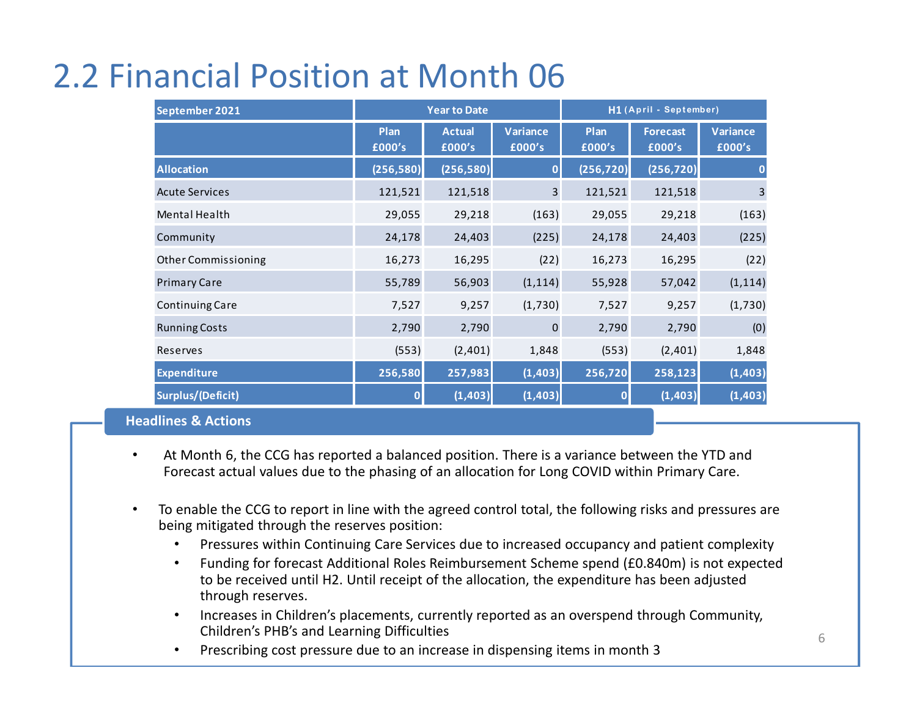### 2.2 Financial Position at Month 06

| September 2021                                 | <b>Year to Date</b> |                         |                           | H1 (April - September) |                           |                           |  |
|------------------------------------------------|---------------------|-------------------------|---------------------------|------------------------|---------------------------|---------------------------|--|
|                                                | Plan<br>£000's      | <b>Actual</b><br>£000's | <b>Variance</b><br>£000's | Plan<br>£000's         | <b>Forecast</b><br>£000's | <b>Variance</b><br>£000's |  |
| <b>Allocation</b>                              | (256, 580)          | (256, 580)              | $\mathbf{0}$              | (256, 720)             | (256, 720)                | $\bf{0}$                  |  |
| <b>Acute Services</b>                          | 121,521             | 121,518                 | 3                         | 121,521                | 121,518                   | 3                         |  |
| Mental Health                                  | 29,055              | 29,218                  | (163)                     | 29,055                 | 29,218                    | (163)                     |  |
| Community                                      | 24,178              | 24,403                  | (225)                     | 24,178                 | 24,403                    | (225)                     |  |
| <b>Other Commissioning</b>                     | 16,273              | 16,295                  | (22)                      | 16,273                 | 16,295                    | (22)                      |  |
| <b>Primary Care</b>                            | 55,789              | 56,903                  | (1, 114)                  | 55,928                 | 57,042                    | (1, 114)                  |  |
| Continuing Care                                | 7,527               | 9,257                   | (1,730)                   | 7,527                  | 9,257                     | (1,730)                   |  |
| <b>Running Costs</b>                           | 2,790               | 2,790                   | $\mathbf{0}$              | 2,790                  | 2,790                     | (0)                       |  |
| Reserves                                       | (553)               | (2,401)                 | 1,848                     | (553)                  | (2,401)                   | 1,848                     |  |
| <b>Expenditure</b>                             | 256,580             | 257,983                 | (1, 403)                  | 256,720                | 258,123                   | (1, 403)                  |  |
| Surplus/(Deficit)                              | $\mathbf 0$         | (1, 403)                | (1, 403)                  | 0                      | (1, 403)                  | (1, 403)                  |  |
| and the state of the state of the state of the |                     |                         |                           |                        |                           |                           |  |

#### **Headlines & Actions**

- • At Month 6, the CCG has reported a balanced position. There is a variance between the YTD and Forecast actual values due to the phasing of an allocation for Long COVID within Primary Care.
- • To enable the CCG to report in line with the agreed control total, the following risks and pressures are being mitigated through the reserves position:
	- •Pressures within Continuing Care Services due to increased occupancy and patient complexity
	- Funding for forecast Additional Roles Reimbursement Scheme spend (£0.840m) is not expected •to be received until H2. Until receipt of the allocation, the expenditure has been adjusted through reserves.
	- • Increases in Children's placements, currently reported as an overspend through Community, Children's PHB's and Learning Difficulties
	- Prescribing cost pressure due to an increase in dispensing items in month 3•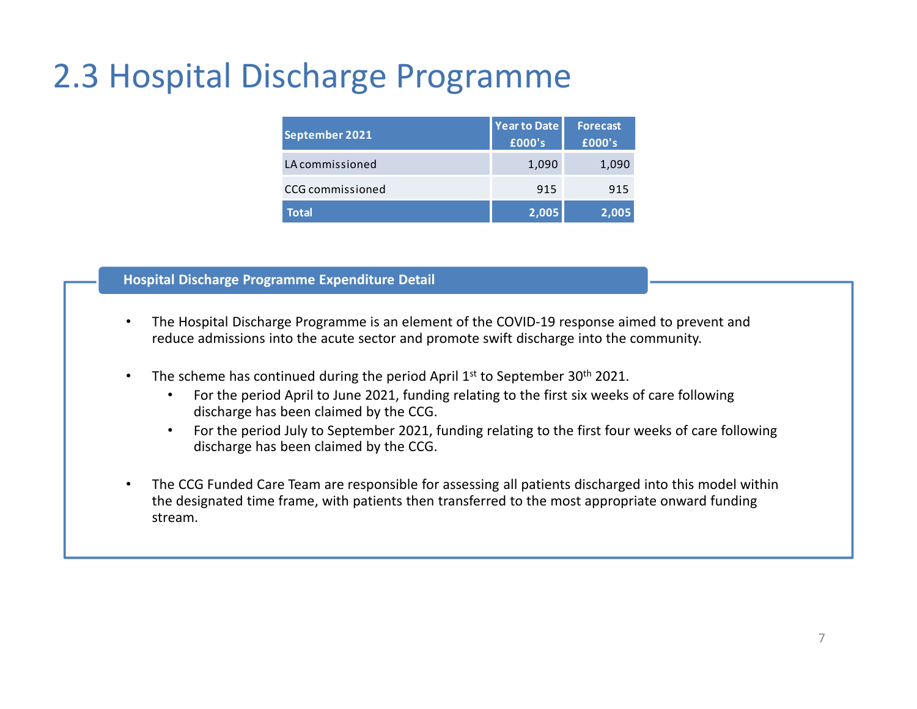### 2.3 Hospital Discharge Programme

| September 2021   | <b>Year to Date</b><br>£000's | <b>Forecast</b><br>£000's |
|------------------|-------------------------------|---------------------------|
| LA commissioned  | 1,090                         | 1,090                     |
| CCG commissioned | 915                           | 915                       |
| <b>Total</b>     | 2,005                         | 2.005                     |

#### **Hospital Discharge Programme Expenditure Detail**

- • The Hospital Discharge Programme is an element of the COVID-19 response aimed to prevent and reduce admissions into the acute sector and promote swift discharge into the community.
- •The scheme has continued during the period April 1<sup>st</sup> to September 30<sup>th</sup> 2021.
	- • For the period April to June 2021, funding relating to the first six weeks of care following discharge has been claimed by the CCG.
	- • For the period July to September 2021, funding relating to the first four weeks of care following discharge has been claimed by the CCG.
- • The CCG Funded Care Team are responsible for assessing all patients discharged into this model within the designated time frame, with patients then transferred to the most appropriate onward funding stream.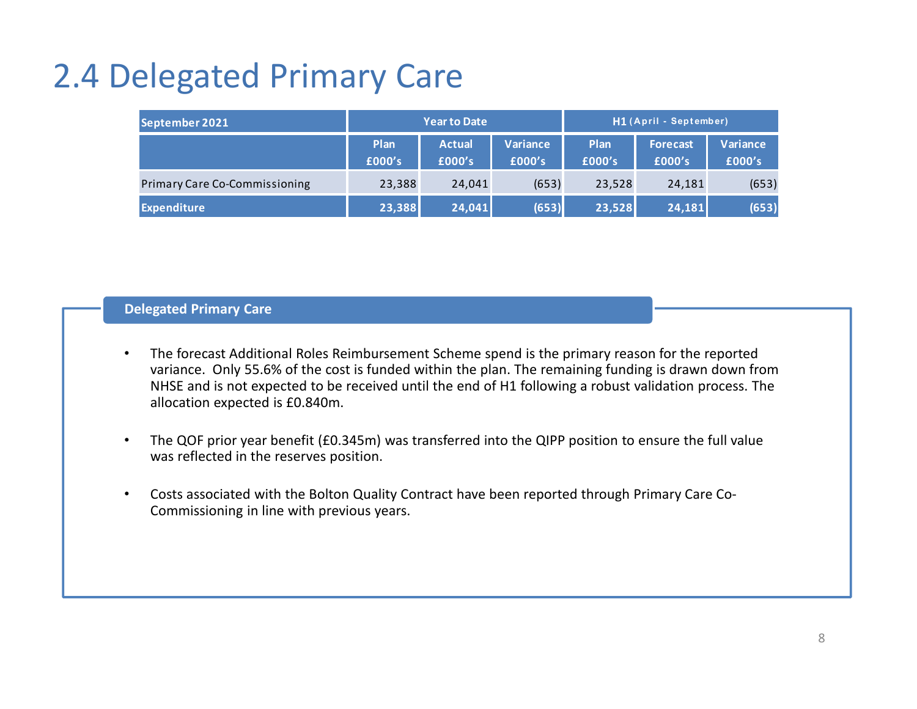## 2.4 Delegated Primary Care

| September 2021                       | <b>Year to Date</b> |                         |                    | H1 (April - September) |                           |                    |  |
|--------------------------------------|---------------------|-------------------------|--------------------|------------------------|---------------------------|--------------------|--|
|                                      | Plan<br>£000's      | <b>Actual</b><br>£000's | Variance<br>£000's | Plan<br>£000's         | <b>Forecast</b><br>£000's | Variance<br>£000's |  |
| <b>Primary Care Co-Commissioning</b> | 23,388              | 24,041                  | (653)              | 23,528                 | 24,181                    | (653)              |  |
| <b>Expenditure</b>                   | 23,388              | 24,041                  | (653)              | 23,528                 | 24,181                    | (653)              |  |

### **Delegated Primary Care**

- • The forecast Additional Roles Reimbursement Scheme spend is the primary reason for the reported variance. Only 55.6% of the cost is funded within the plan. The remaining funding is drawn down from NHSE and is not expected to be received until the end of H1 following a robust validation process. Theallocation expected is £0.840m.
- • The QOF prior year benefit (£0.345m) was transferred into the QIPP position to ensure the full value was reflected in the reserves position.
- • Costs associated with the Bolton Quality Contract have been reported through Primary Care Co-Commissioning in line with previous years.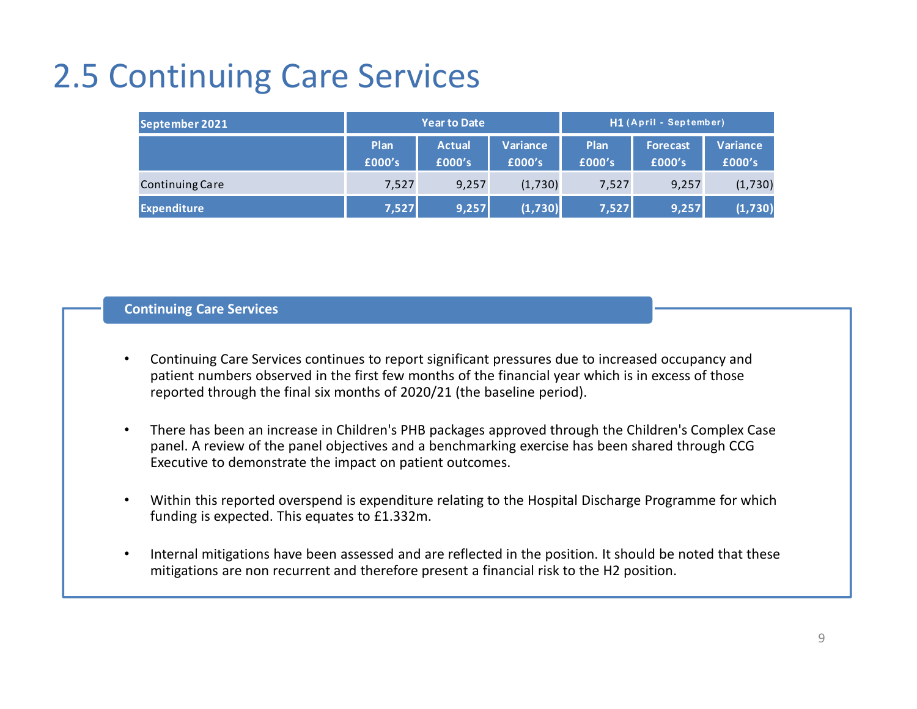### 2.5 Continuing Care Services

| September 2021         |                | <b>Year to Date</b>     |                    | H1 (April - September) <sup> </sup> |                           |                    |  |
|------------------------|----------------|-------------------------|--------------------|-------------------------------------|---------------------------|--------------------|--|
|                        | Plan<br>£000's | <b>Actual</b><br>£000's | Variance<br>£000's | Plan<br>£000's                      | <b>Forecast</b><br>£000's | Variance<br>£000's |  |
| <b>Continuing Care</b> | 7,527          | 9,257                   | (1,730)            | 7,527                               | 9,257                     | (1,730)            |  |
| <b>Expenditure</b>     | 7,527          | 9,257                   | (1,730)            | 7,527                               | 9,257                     | (1,730)            |  |

#### **Continuing Care Services**

- • Continuing Care Services continues to report significant pressures due to increased occupancy and patient numbers observed in the first few months of the financial year which is in excess of those reported through the final six months of 2020/21 (the baseline period).
- • There has been an increase in Children's PHB packages approved through the Children's Complex Case panel. A review of the panel objectives and a benchmarking exercise has been shared through CCG Executive to demonstrate the impact on patient outcomes.
- • Within this reported overspend is expenditure relating to the Hospital Discharge Programme for which funding is expected. This equates to £1.332m.
- • Internal mitigations have been assessed and are reflected in the position. It should be noted that these mitigations are non recurrent and therefore present a financial risk to the H2 position.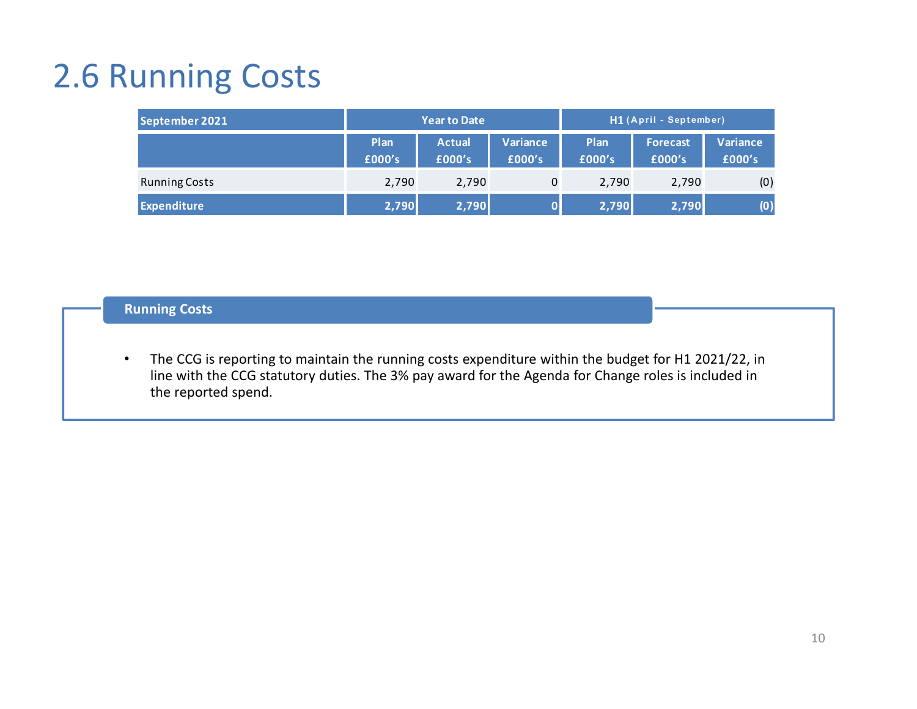## 2.6 Running Costs

| September 2021       | <b>Year to Date</b> |                         |                    | H1 (April - September) |                           |                    |  |
|----------------------|---------------------|-------------------------|--------------------|------------------------|---------------------------|--------------------|--|
|                      | Plan<br>£000's      | <b>Actual</b><br>£000's | Variance<br>£000's | Plan<br>£000's         | <b>Forecast</b><br>£000's | Variance<br>£000's |  |
| <b>Running Costs</b> | 2,790               | 2,790                   | 0                  | 2,790                  | 2,790                     | (0)                |  |
| <b>Expenditure</b>   | 2,790               | 2,790                   |                    | 2,790                  | 2,790                     | (0)                |  |

### **Running Costs**

 $\bullet$  The CCG is reporting to maintain the running costs expenditure within the budget for H1 2021/22, in line with the CCG statutory duties. The 3% pay award for the Agenda for Change roles is included in the reported spend.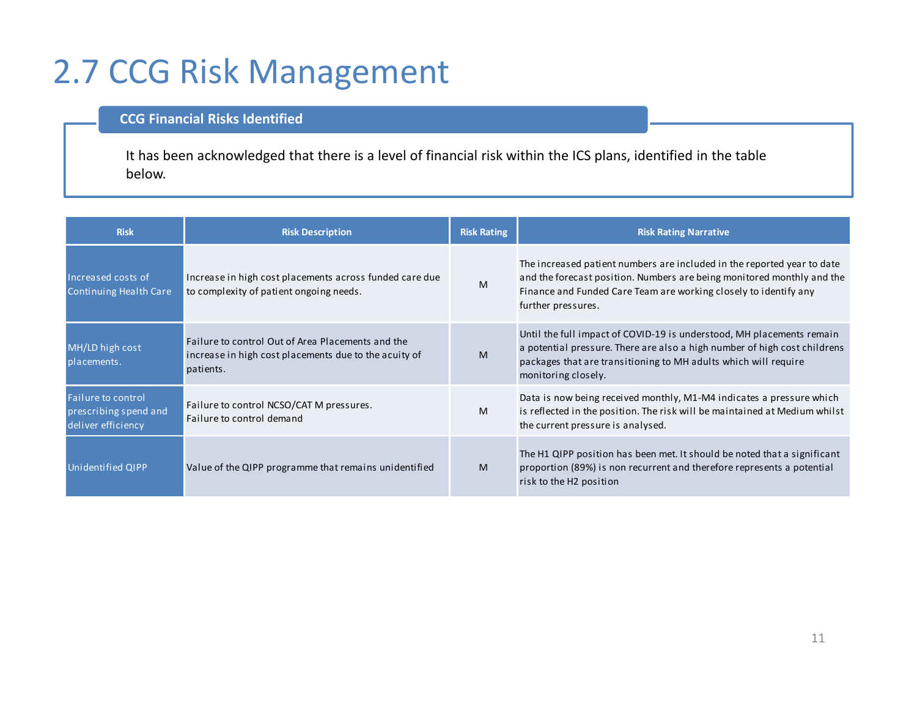### 2.7 CCG Risk Management

### **CCG Financial Risks Identified**

It has been acknowledged that there is a level of financial risk within the ICS plans, identified in the table below.

| <b>Risk</b>                                                       | <b>Risk Description</b>                                                                                                 | <b>Risk Rating</b> | <b>Risk Rating Narrative</b>                                                                                                                                                                                                                 |
|-------------------------------------------------------------------|-------------------------------------------------------------------------------------------------------------------------|--------------------|----------------------------------------------------------------------------------------------------------------------------------------------------------------------------------------------------------------------------------------------|
| Increased costs of<br>Continuing Health Care                      | Increase in high cost placements across funded care due<br>to complexity of patient ongoing needs.                      | M                  | The increased patient numbers are included in the reported year to date<br>and the forecast position. Numbers are being monitored monthly and the<br>Finance and Funded Care Team are working closely to identify any<br>further pressures.  |
| MH/LD high cost<br>placements.                                    | Failure to control Out of Area Placements and the<br>increase in high cost placements due to the acuity of<br>patients. | M                  | Until the full impact of COVID-19 is understood, MH placements remain<br>a potential pressure. There are also a high number of high cost childrens<br>packages that are transitioning to MH adults which will require<br>monitoring closely. |
| Failure to control<br>prescribing spend and<br>deliver efficiency | Failure to control NCSO/CAT M pressures.<br>Failure to control demand                                                   | M                  | Data is now being received monthly, M1-M4 indicates a pressure which<br>is reflected in the position. The risk will be maintained at Medium whilst<br>the current pressure is analysed.                                                      |
| <b>Unidentified QIPP</b>                                          | Value of the QIPP programme that remains unidentified                                                                   | M                  | The H1 QIPP position has been met. It should be noted that a significant<br>proportion (89%) is non recurrent and therefore represents a potential<br>risk to the H2 position                                                                |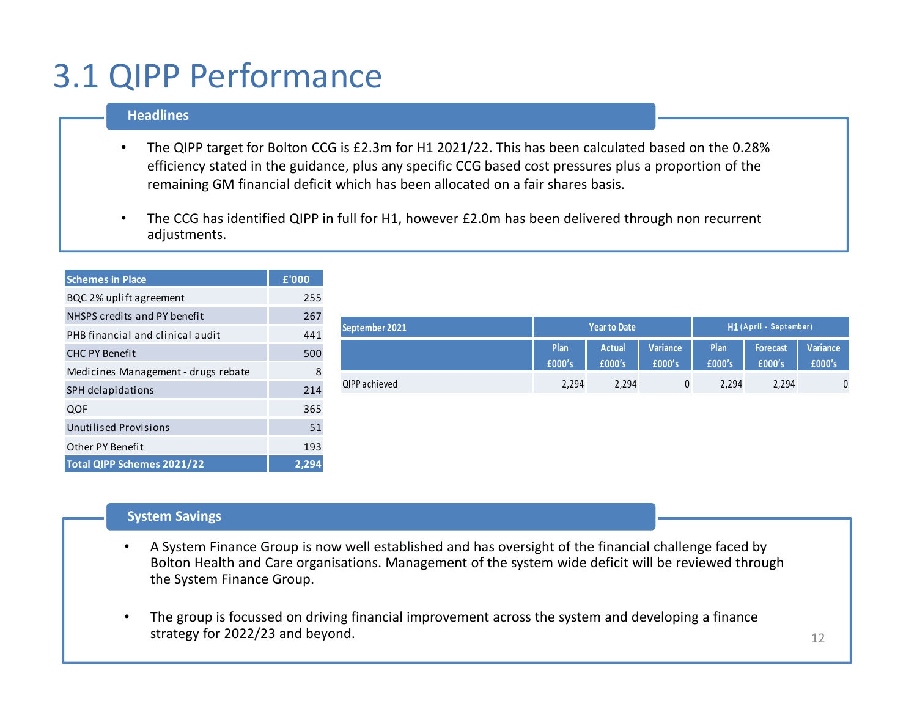### 3.1 QIPP Performance

#### **Headlines**

- • The QIPP target for Bolton CCG is £2.3m for H1 2021/22. This has been calculated based on the 0.28% efficiency stated in the guidance, plus any specific CCG based cost pressures plus a proportion of the remaining GM financial deficit which has been allocated on a fair shares basis.
- • The CCG has identified QIPP in full for H1, however £2.0m has been delivered through non recurrent adjustments.

| <b>Schemes in Place</b>             | £'000 |
|-------------------------------------|-------|
| BQC 2% uplift agreement             | 255   |
| NHSPS credits and PY benefit        | 267   |
| PHB financial and clinical audit    | 441   |
| <b>CHC PY Benefit</b>               | 500   |
| Medicines Management - drugs rebate | 8     |
| SPH delapidations                   | 214   |
| QOF                                 | 365   |
| <b>Unutilised Provisions</b>        | 51    |
| Other PY Benefit                    | 193   |
| Total QIPP Schemes 2021/22          | 2,29  |

|                |                | <b>Year to Date</b>     |                    | H1 (April - September) |                    |                    |  |
|----------------|----------------|-------------------------|--------------------|------------------------|--------------------|--------------------|--|
| September 2021 |                |                         |                    |                        |                    |                    |  |
|                | Plan<br>£000's | <b>Actual</b><br>£000's | Variance<br>£000's | Plan<br>£000's         | Forecast<br>£000's | Variance<br>£000's |  |
| QIPP achieved  | 2,294          | 2,294                   | 0                  | 2,294                  | 2,294              | $\mathbf 0$        |  |
|                |                |                         |                    |                        |                    |                    |  |
|                |                |                         |                    |                        |                    |                    |  |
|                |                |                         |                    |                        |                    |                    |  |
|                |                |                         |                    |                        |                    |                    |  |

#### **System Savings**

- • A System Finance Group is now well established and has oversight of the financial challenge faced by Bolton Health and Care organisations. Management of the system wide deficit will be reviewed through the System Finance Group.
- • The group is focussed on driving financial improvement across the system and developing a finance strategy for 2022/23 and beyond.<u>. Постана на селото на селото на селото на селото на селото на селото на селото на селото на селото на селото</u>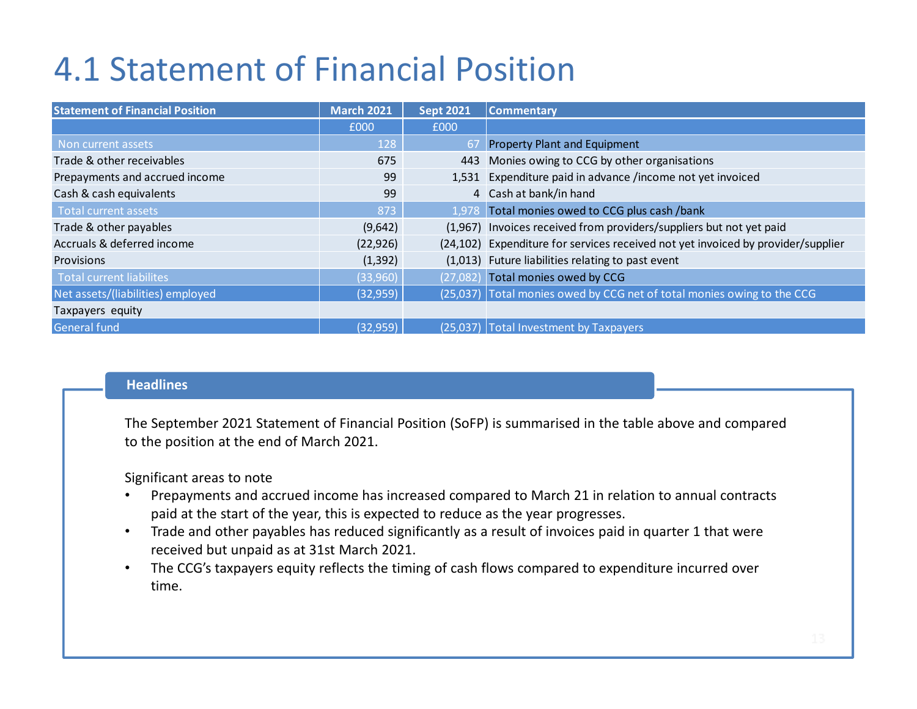### 4.1 Statement of Financial Position

| <b>Statement of Financial Position</b> | <b>March 2021</b> | <b>Sept 2021</b> | <b>Commentary</b>                                                                |  |
|----------------------------------------|-------------------|------------------|----------------------------------------------------------------------------------|--|
|                                        | £000              | £000             |                                                                                  |  |
| Non current assets                     | 128               | 67               | <b>Property Plant and Equipment</b>                                              |  |
| Trade & other receivables              | 675               | 443              | Monies owing to CCG by other organisations                                       |  |
| Prepayments and accrued income         | 99                |                  | 1,531 Expenditure paid in advance /income not yet invoiced                       |  |
| Cash & cash equivalents                | 99                |                  | 4 Cash at bank/in hand                                                           |  |
| <b>Total current assets</b>            | 873               |                  | 1,978 Total monies owed to CCG plus cash /bank                                   |  |
| Trade & other payables                 | (9,642)           |                  | (1,967) Invoices received from providers/suppliers but not yet paid              |  |
| Accruals & deferred income             | (22, 926)         |                  | (24,102) Expenditure for services received not yet invoiced by provider/supplier |  |
| <b>Provisions</b>                      | (1, 392)          |                  | (1,013) Future liabilities relating to past event                                |  |
| <b>Total current liabilites</b>        | (33,960)          | (27,082)         | Total monies owed by CCG                                                         |  |
| Net assets/(liabilities) employed      | (32, 959)         |                  | (25,037) Total monies owed by CCG net of total monies owing to the CCG           |  |
| Taxpayers equity                       |                   |                  |                                                                                  |  |
| General fund                           | (32, 959)         | (25,037)         | <b>Total Investment by Taxpayers</b>                                             |  |

#### **Headlines**

The September 2021 Statement of Financial Position (SoFP) is summarised in the table above and compared to the position at the end of March 2021.

Significant areas to note

- Prepayments and accrued income has increased compared to March 21 in relation to annual contracts •paid at the start of the year, this is expected to reduce as the year progresses.
- $\bullet$  Trade and other payables has reduced significantly as a result of invoices paid in quarter 1 that werereceived but unpaid as at 31st March 2021.
- • The CCG's taxpayers equity reflects the timing of cash flows compared to expenditure incurred over time.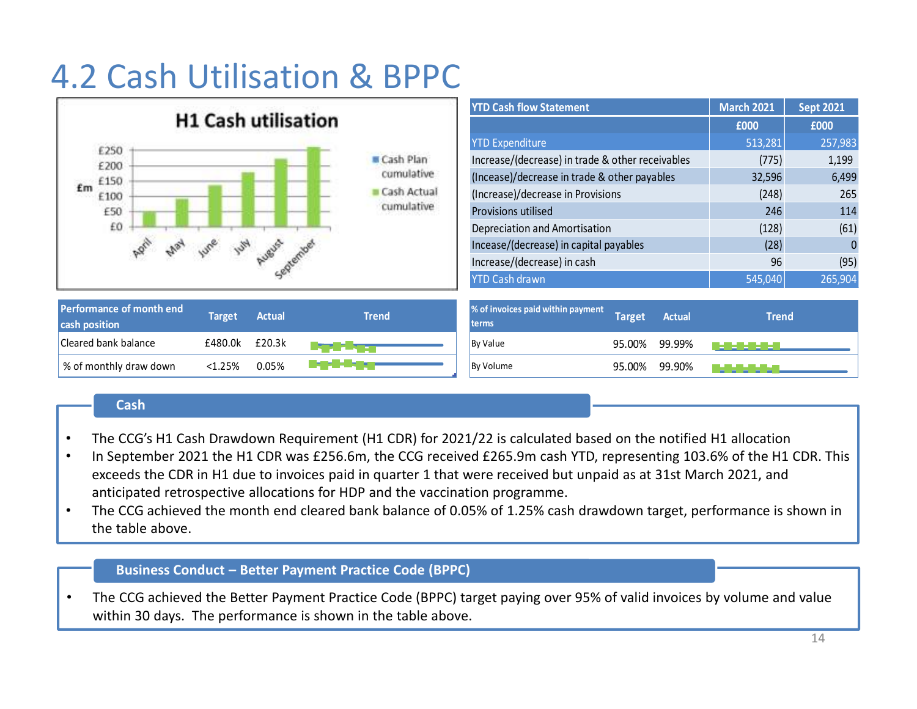## 4.2 Cash Utilisation & BPPC

|                                                                                             | <b>YTD Cash flow Statement</b>                                               | <b>March 2021</b> | <b>Sept 2021</b> |
|---------------------------------------------------------------------------------------------|------------------------------------------------------------------------------|-------------------|------------------|
| <b>H1 Cash utilisation</b>                                                                  |                                                                              | £000              | £000             |
| £250                                                                                        | <b>YTD Expenditure</b>                                                       | 513,281           | 257,983          |
| <b>E</b> Cash Plan<br>£200                                                                  | Increase/(decrease) in trade & other receivables                             | (775)             | 1,199            |
| cumulative<br>£150                                                                          | (Incease)/decrease in trade & other payables                                 | 32,596            | 6,499            |
| £m<br>$Cash$ Actual<br>£100                                                                 | (Increase)/decrease in Provisions                                            | (248)             | 265              |
| cumulative<br>£50                                                                           | Provisions utilised                                                          | 246               | 114              |
| £O                                                                                          | Depreciation and Amortisation                                                | (128)             | (61)             |
| LUBUS                                                                                       | Incease/(decrease) in capital payables                                       | (28)              |                  |
|                                                                                             | Increase/(decrease) in cash                                                  | 96                | (95)             |
|                                                                                             | <b>YTD Cash drawn</b>                                                        | 545,040           | 265,904          |
| Performance of month end<br><b>Actual</b><br><b>Trend</b><br><b>Target</b><br>cash position | % of invoices paid within payment<br><b>Target</b><br><b>Actual</b><br>terms | <b>Trend</b>      |                  |
| <b>Cleared bank balance</b><br>£20.3k<br>£480.0k                                            | By Value<br>95.00%<br>99.99%                                                 |                   |                  |
| % of monthly draw down<br><1.25%<br>0.05%                                                   | By Volume<br>95.00%<br>99.90%                                                |                   |                  |

#### **Cash**

- •The CCG's H1 Cash Drawdown Requirement (H1 CDR) for 2021/22 is calculated based on the notified H1 allocation
- • In September 2021 the H1 CDR was £256.6m, the CCG received £265.9m cash YTD, representing 103.6% of the H1 CDR. This exceeds the CDR in H1 due to invoices paid in quarter 1 that were received but unpaid as at 31st March 2021, and anticipated retrospective allocations for HDP and the vaccination programme.
- • The CCG achieved the month end cleared bank balance of 0.05% of 1.25% cash drawdown target, performance is shown in the table above.

#### **Business Conduct – Better Payment Practice Code (BPPC)**

• The CCG achieved the Better Payment Practice Code (BPPC) target paying over 95% of valid invoices by volume and value within 30 days. The performance is shown in the table above.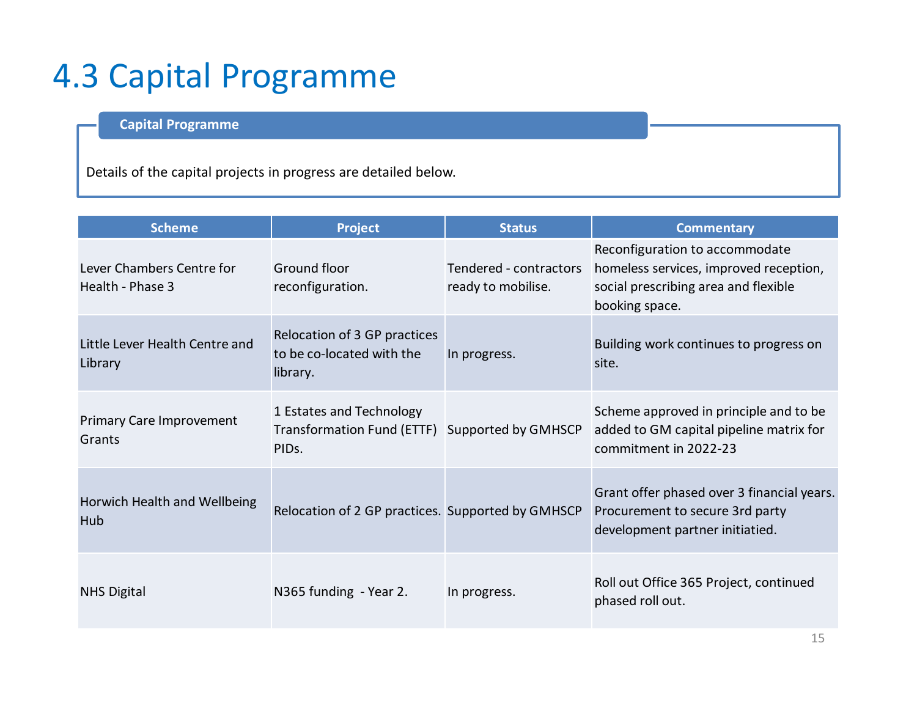### 4.3 Capital Programme

### **Capital Programme**

Details of the capital projects in progress are detailed below.

| <b>Scheme</b>                                 | <b>Project</b>                                                                                   | <b>Status</b>                                | <b>Commentary</b>                                                                                                                  |
|-----------------------------------------------|--------------------------------------------------------------------------------------------------|----------------------------------------------|------------------------------------------------------------------------------------------------------------------------------------|
| Lever Chambers Centre for<br>Health - Phase 3 | Ground floor<br>reconfiguration.                                                                 | Tendered - contractors<br>ready to mobilise. | Reconfiguration to accommodate<br>homeless services, improved reception,<br>social prescribing area and flexible<br>booking space. |
| Little Lever Health Centre and<br>Library     | Relocation of 3 GP practices<br>to be co-located with the<br>library.                            | In progress.                                 | Building work continues to progress on<br>site.                                                                                    |
| <b>Primary Care Improvement</b><br>Grants     | 1 Estates and Technology<br>Transformation Fund (ETTF) Supported by GMHSCP<br>PID <sub>s</sub> . |                                              | Scheme approved in principle and to be<br>added to GM capital pipeline matrix for<br>commitment in 2022-23                         |
| Horwich Health and Wellbeing<br>Hub           | Relocation of 2 GP practices. Supported by GMHSCP                                                |                                              | Grant offer phased over 3 financial years.<br>Procurement to secure 3rd party<br>development partner initiatied.                   |
| <b>NHS Digital</b>                            | N365 funding - Year 2.                                                                           | In progress.                                 | Roll out Office 365 Project, continued<br>phased roll out.                                                                         |